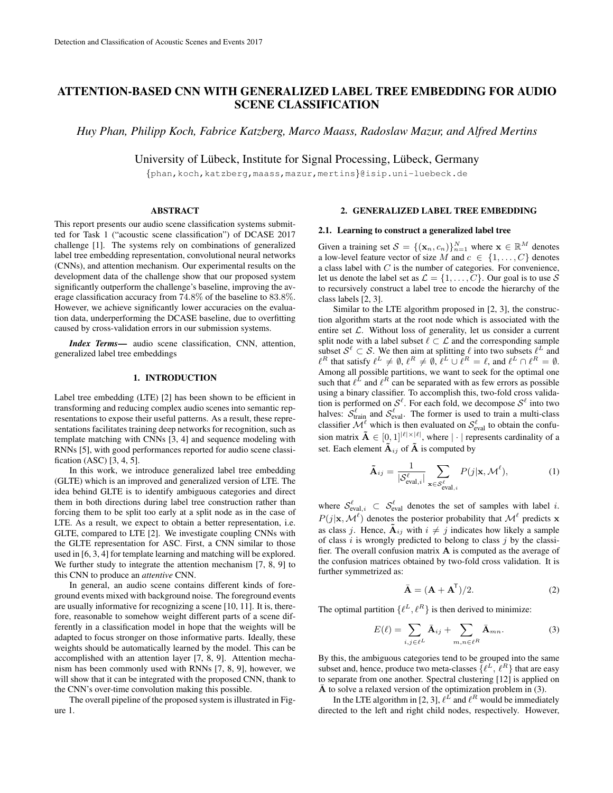# ATTENTION-BASED CNN WITH GENERALIZED LABEL TREE EMBEDDING FOR AUDIO SCENE CLASSIFICATION

*Huy Phan, Philipp Koch, Fabrice Katzberg, Marco Maass, Radoslaw Mazur, and Alfred Mertins*

University of Lübeck, Institute for Signal Processing, Lübeck, Germany

{phan,koch,katzberg,maass,mazur,mertins}@isip.uni-luebeck.de

#### ABSTRACT

This report presents our audio scene classification systems submitted for Task 1 ("acoustic scene classification") of DCASE 2017 challenge [1]. The systems rely on combinations of generalized label tree embedding representation, convolutional neural networks (CNNs), and attention mechanism. Our experimental results on the development data of the challenge show that our proposed system significantly outperform the challenge's baseline, improving the average classification accuracy from 74.8% of the baseline to 83.8%. However, we achieve significantly lower accuracies on the evaluation data, underperforming the DCASE baseline, due to overfitting caused by cross-validation errors in our submission systems.

*Index Terms*— audio scene classification, CNN, attention, generalized label tree embeddings

#### 1. INTRODUCTION

Label tree embedding (LTE) [2] has been shown to be efficient in transforming and reducing complex audio scenes into semantic representations to expose their useful patterns. As a result, these representations facilitates training deep networks for recognition, such as template matching with CNNs [3, 4] and sequence modeling with RNNs [5], with good performances reported for audio scene classification (ASC) [3, 4, 5].

In this work, we introduce generalized label tree embedding (GLTE) which is an improved and generalized version of LTE. The idea behind GLTE is to identify ambiguous categories and direct them in both directions during label tree construction rather than forcing them to be split too early at a split node as in the case of LTE. As a result, we expect to obtain a better representation, i.e. GLTE, compared to LTE [2]. We investigate coupling CNNs with the GLTE representation for ASC. First, a CNN similar to those used in [6, 3, 4] for template learning and matching will be explored. We further study to integrate the attention mechanism [7, 8, 9] to this CNN to produce an *attentive* CNN.

In general, an audio scene contains different kinds of foreground events mixed with background noise. The foreground events are usually informative for recognizing a scene [10, 11]. It is, therefore, reasonable to somehow weight different parts of a scene differently in a classification model in hope that the weights will be adapted to focus stronger on those informative parts. Ideally, these weights should be automatically learned by the model. This can be accomplished with an attention layer [7, 8, 9]. Attention mechanism has been commonly used with RNNs [7, 8, 9], however, we will show that it can be integrated with the proposed CNN, thank to the CNN's over-time convolution making this possible.

The overall pipeline of the proposed system is illustrated in Figure 1.

#### 2. GENERALIZED LABEL TREE EMBEDDING

# 2.1. Learning to construct a generalized label tree

Given a training set  $S = \{(\mathbf{x}_n, c_n)\}_{n=1}^N$  where  $\mathbf{x} \in \mathbb{R}^M$  denotes a low-level feature vector of size M and  $c \in \{1, \ldots, C\}$  denotes a class label with  $C$  is the number of categories. For convenience, let us denote the label set as  $\mathcal{L} = \{1, \ldots, C\}$ . Our goal is to use S to recursively construct a label tree to encode the hierarchy of the class labels [2, 3].

Similar to the LTE algorithm proposed in [2, 3], the construction algorithm starts at the root node which is associated with the entire set  $\mathcal{L}$ . Without loss of generality, let us consider a current split node with a label subset  $\ell \subset \mathcal{L}$  and the corresponding sample subset  $\mathcal{S}^{\ell} \subset \mathcal{S}$ . We then aim at splitting  $\ell$  into two subsets  $\ell^L$  and  $\ell^R$  that satisfy  $\ell^L \neq \emptyset$ ,  $\ell^R \neq \emptyset$ ,  $\ell^L \cup \ell^R = \ell$ , and  $\ell^L \cap \ell^R = \emptyset$ . Among all possible partitions, we want to seek for the optimal one such that  $\ell^L$  and  $\ell^R$  can be separated with as few errors as possible using a binary classifier. To accomplish this, two-fold cross validation is performed on  $\mathcal{S}^{\ell}$ . For each fold, we decompose  $\mathcal{S}^{\ell}$  into two halves:  $S_{\text{train}}^{\ell}$  and  $S_{\text{eval}}^{\ell}$ . The former is used to train a multi-class classifier  $\mathcal{M}^{\ell}$  which is then evaluated on  $\mathcal{S}_{eval}^{\ell}$  to obtain the confusion matrix  $\mathbf{\tilde{A}} \in [0,1]^{|\ell| \times |\ell|}$ , where  $|\cdot|$  represents cardinality of a set. Each element  $\tilde{A}_{ij}$  of  $\tilde{A}$  is computed by

$$
\tilde{\mathbf{A}}_{ij} = \frac{1}{|\mathcal{S}_{\text{eval},i}^{\ell}|} \sum_{\mathbf{x} \in \mathcal{S}_{\text{eval},i}^{\ell}} P(j|\mathbf{x}, \mathcal{M}^{\ell}),
$$
(1)

where  $\mathcal{S}_{eval,i}^{\ell} \subset \mathcal{S}_{eval}^{\ell}$  denotes the set of samples with label *i*.  $P(j|\mathbf{x}, \mathcal{M}^{\ell})$  denotes the posterior probability that  $\mathcal{M}^{\ell}$  predicts x as class j. Hence,  $\tilde{A}_{ij}$  with  $i \neq j$  indicates how likely a sample of class  $i$  is wrongly predicted to belong to class  $j$  by the classifier. The overall confusion matrix A is computed as the average of the confusion matrices obtained by two-fold cross validation. It is further symmetrized as:

$$
\bar{\mathbf{A}} = (\mathbf{A} + \mathbf{A}^{\mathsf{T}})/2.
$$
 (2)

The optimal partition  $\{\ell^L, \ell^R\}$  is then derived to minimize:

$$
E(\ell) = \sum_{i,j \in \ell^L} \bar{\mathbf{A}}_{ij} + \sum_{m,n \in \ell^R} \bar{\mathbf{A}}_{mn}.
$$
 (3)

By this, the ambiguous categories tend to be grouped into the same subset and, hence, produce two meta-classes  $\{\ell^L, \ell^R\}$  that are easy to separate from one another. Spectral clustering [12] is applied on  $\overline{A}$  to solve a relaxed version of the optimization problem in (3).

In the LTE algorithm in [2, 3],  $\ell^L$  and  $\ell^R$  would be immediately directed to the left and right child nodes, respectively. However,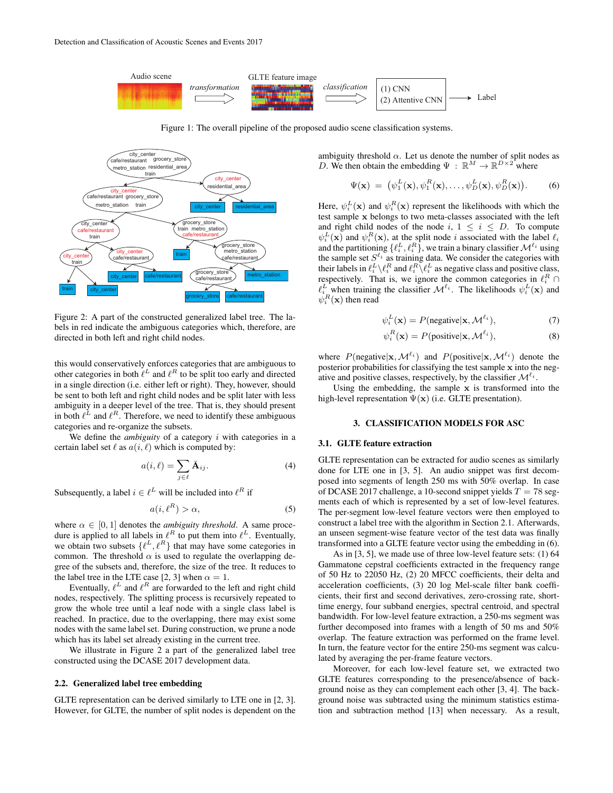

Figure 1: The overall pipeline of the proposed audio scene classification systems.



Figure 2: A part of the constructed generalized label tree. The labels in red indicate the ambiguous categories which, therefore, are directed in both left and right child nodes.

this would conservatively enforces categories that are ambiguous to other categories in both  $\ell^L$  and  $\ell^R$  to be split too early and directed in a single direction (i.e. either left or right). They, however, should be sent to both left and right child nodes and be split later with less ambiguity in a deeper level of the tree. That is, they should present in both  $\ell^L$  and  $\ell^R$ . Therefore, we need to identify these ambiguous categories and re-organize the subsets.

We define the *ambiguity* of a category *i* with categories in a certain label set  $\ell$  as  $a(i, \ell)$  which is computed by:

$$
a(i,\ell) = \sum_{j \in \ell} \bar{\mathbf{A}}_{ij}.
$$
 (4)

Subsequently, a label  $i \in \ell^L$  will be included into  $\ell^R$  if

$$
a(i, \ell^R) > \alpha,\tag{5}
$$

where  $\alpha \in [0, 1]$  denotes the *ambiguity threshold*. A same procedure is applied to all labels in  $\ell^R$  to put them into  $\ell^L$ . Eventually, we obtain two subsets  $\{\ell^L, \ell^R\}$  that may have some categories in common. The threshold  $\alpha$  is used to regulate the overlapping degree of the subsets and, therefore, the size of the tree. It reduces to the label tree in the LTE case [2, 3] when  $\alpha = 1$ .

Eventually,  $\ell^L$  and  $\ell^R$  are forwarded to the left and right child nodes, respectively. The splitting process is recursively repeated to grow the whole tree until a leaf node with a single class label is reached. In practice, due to the overlapping, there may exist some nodes with the same label set. During construction, we prune a node which has its label set already existing in the current tree.

We illustrate in Figure 2 a part of the generalized label tree constructed using the DCASE 2017 development data.

# 2.2. Generalized label tree embedding

GLTE representation can be derived similarly to LTE one in [2, 3]. However, for GLTE, the number of split nodes is dependent on the ambiguity threshold  $\alpha$ . Let us denote the number of split nodes as D. We then obtain the embedding  $\Psi : \mathbb{R}^M \to \mathbb{R}^{D \times 2}$  where

$$
\Psi(\mathbf{x}) = (\psi_1^L(\mathbf{x}), \psi_1^R(\mathbf{x}), \dots, \psi_D^L(\mathbf{x}), \psi_D^R(\mathbf{x})).
$$
 (6)

Here,  $\psi_i^L(\mathbf{x})$  and  $\psi_i^R(\mathbf{x})$  represent the likelihoods with which the test sample x belongs to two meta-classes associated with the left and right child nodes of the node i,  $1 \le i \le D$ . To compute  $\psi_i^L(\mathbf{x})$  and  $\psi_i^R(\mathbf{x})$ , at the split node i associated with the label  $\ell_i$ and the partitioning  $\{\ell^L_i, \ell^R_i\}$ , we train a binary classifier  $\mathcal{M}^{\ell_i}$  using the sample set  $S^{\ell_i}$  as training data. We consider the categories with their labels in  $\ell_i^L \backslash \ell_i^R$  and  $\ell_i^R \backslash \ell_i^L$  as negative class and positive class, respectively. That is, we ignore the common categories in  $\ell_i^R$  $\ell_i^L$  when training the classifier  $\mathcal{M}^{\ell_i}$ . The likelihoods  $\psi_i^L(\mathbf{x})$  and  $\psi_i^R(\mathbf{x})$  then read

$$
\psi_i^L(\mathbf{x}) = P(\text{negative}|\mathbf{x}, \mathcal{M}^{\ell_i}),\tag{7}
$$

$$
\psi_i^R(\mathbf{x}) = P(\text{positive}|\mathbf{x}, \mathcal{M}^{\ell_i}),\tag{8}
$$

where  $P(\text{negative}|\mathbf{x}, \mathcal{M}^{\ell_i})$  and  $P(\text{positive}|\mathbf{x}, \mathcal{M}^{\ell_i})$  denote the posterior probabilities for classifying the test sample x into the negative and positive classes, respectively, by the classifier  $\mathcal{M}^{\ell_i}$ .

Using the embedding, the sample  $x$  is transformed into the high-level representation  $\Psi(\mathbf{x})$  (i.e. GLTE presentation).

# 3. CLASSIFICATION MODELS FOR ASC

#### 3.1. GLTE feature extraction

GLTE representation can be extracted for audio scenes as similarly done for LTE one in [3, 5]. An audio snippet was first decomposed into segments of length 250 ms with 50% overlap. In case of DCASE 2017 challenge, a 10-second snippet yields  $T = 78$  segments each of which is represented by a set of low-level features. The per-segment low-level feature vectors were then employed to construct a label tree with the algorithm in Section 2.1. Afterwards, an unseen segment-wise feature vector of the test data was finally transformed into a GLTE feature vector using the embedding in (6).

As in [3, 5], we made use of three low-level feature sets: (1) 64 Gammatone cepstral coefficients extracted in the frequency range of 50 Hz to 22050 Hz, (2) 20 MFCC coefficients, their delta and acceleration coefficients, (3) 20 log Mel-scale filter bank coefficients, their first and second derivatives, zero-crossing rate, shorttime energy, four subband energies, spectral centroid, and spectral bandwidth. For low-level feature extraction, a 250-ms segment was further decomposed into frames with a length of 50 ms and 50% overlap. The feature extraction was performed on the frame level. In turn, the feature vector for the entire 250-ms segment was calculated by averaging the per-frame feature vectors.

Moreover, for each low-level feature set, we extracted two GLTE features corresponding to the presence/absence of background noise as they can complement each other [3, 4]. The background noise was subtracted using the minimum statistics estimation and subtraction method [13] when necessary. As a result,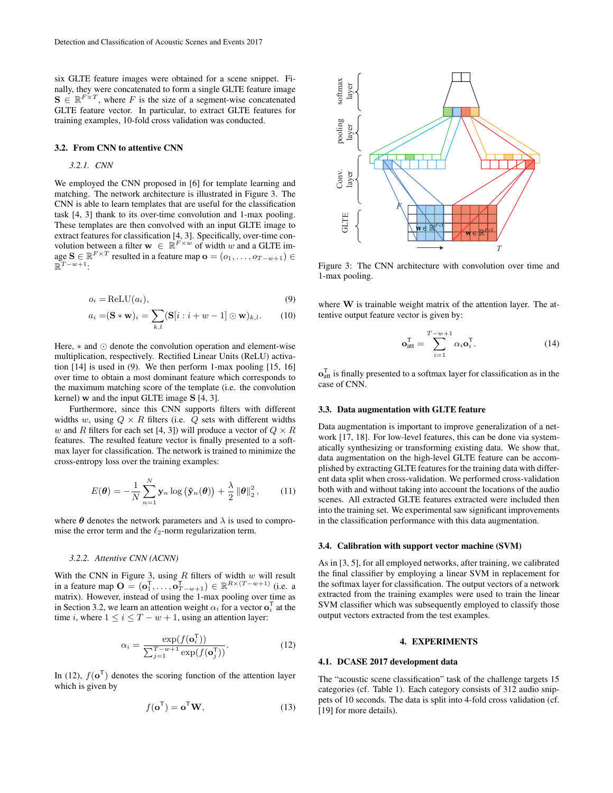six GLTE feature images were obtained for a scene snippet. Finally, they were concatenated to form a single GLTE feature image  $\mathbf{S} \in \mathbb{R}^{F \times T}$ , where F is the size of a segment-wise concatenated GLTE feature vector. In particular, to extract GLTE features for training examples, 10-fold cross validation was conducted.

## 3.2. From CNN to attentive CNN

## *3.2.1. CNN*

We employed the CNN proposed in [6] for template learning and matching. The network architecture is illustrated in Figure 3. The CNN is able to learn templates that are useful for the classification task [4, 3] thank to its over-time convolution and 1-max pooling. These templates are then convolved with an input GLTE image to extract features for classification [4, 3]. Specifically, over-time convolution between a filter  $\mathbf{w} \in \mathbb{R}^{F \times w}$  of width w and a GLTE image  $\mathbf{S} \in \mathbb{R}^{F \times T}$  resulted in a feature map  $\mathbf{o} = (o_1, \dots, o_{T-w+1}) \in$  $\mathbb{R}^{T-w+1}$ :

$$
o_i = \text{ReLU}(a_i),\tag{9}
$$

$$
a_i = (\mathbf{S} * \mathbf{w})_i = \sum_{k,l} (\mathbf{S}[i : i + w - 1] \odot \mathbf{w})_{k,l}.
$$
 (10)

Here,  $*$  and  $\odot$  denote the convolution operation and element-wise multiplication, respectively. Rectified Linear Units (ReLU) activation [14] is used in (9). We then perform 1-max pooling [15, 16] over time to obtain a most dominant feature which corresponds to the maximum matching score of the template (i.e. the convolution kernel) w and the input GLTE image S [4, 3].

Furthermore, since this CNN supports filters with different widths w, using  $Q \times R$  filters (i.e. Q sets with different widths w and R filters for each set [4, 3]) will produce a vector of  $Q \times R$ features. The resulted feature vector is finally presented to a softmax layer for classification. The network is trained to minimize the cross-entropy loss over the training examples:

$$
E(\boldsymbol{\theta}) = -\frac{1}{N} \sum_{n=1}^{N} \mathbf{y}_n \log (\hat{\mathbf{y}}_n(\boldsymbol{\theta})) + \frac{\lambda}{2} ||\boldsymbol{\theta}||_2^2, \qquad (11)
$$

where  $\theta$  denotes the network parameters and  $\lambda$  is used to compromise the error term and the  $\ell_2$ -norm regularization term.

#### *3.2.2. Attentive CNN (ACNN)*

With the CNN in Figure 3, using  $R$  filters of width  $w$  will result in a feature map  $\mathbf{O} = (\mathbf{o}_1^{\mathsf{T}}, \dots, \mathbf{o}_{T-w+1}^{\mathsf{T}}) \in \mathbb{R}^{R \times (T-w+1)}$  (i.e. a matrix). However, instead of using the 1-max pooling over time as in Section 3.2, we learn an attention weight  $\alpha_i$  for a vector  $\mathbf{o}_i^{\mathsf{T}}$  at the time i, where  $1 \le i \le T - w + 1$ , using an attention layer:

$$
\alpha_i = \frac{\exp(f(\mathbf{o}_i^{\mathsf{T}}))}{\sum_{j=1}^{T-w+1} \exp(f(\mathbf{o}_j^{\mathsf{T}}))}.
$$
 (12)

In (12),  $f(\mathbf{o}^T)$  denotes the scoring function of the attention layer which is given by

$$
f(\mathbf{o}^{\mathsf{T}}) = \mathbf{o}^{\mathsf{T}} \mathbf{W},\tag{13}
$$



Figure 3: The CNN architecture with convolution over time and 1-max pooling.

where  $W$  is trainable weight matrix of the attention layer. The attentive output feature vector is given by:

$$
\mathbf{o}_{\text{att}}^{\mathsf{T}} = \sum_{i=1}^{T-w+1} \alpha_i \mathbf{o}_i^{\mathsf{T}}.
$$
 (14)

 $\mathbf{o}_{\text{att}}^{\text{T}}$  is finally presented to a softmax layer for classification as in the case of CNN.

## 3.3. Data augmentation with GLTE feature

Data augmentation is important to improve generalization of a network [17, 18]. For low-level features, this can be done via systematically synthesizing or transforming existing data. We show that, data augmentation on the high-level GLTE feature can be accomplished by extracting GLTE features for the training data with different data split when cross-validation. We performed cross-validation both with and without taking into account the locations of the audio scenes. All extracted GLTE features extracted were included then into the training set. We experimental saw significant improvements in the classification performance with this data augmentation.

## 3.4. Calibration with support vector machine (SVM)

As in [3, 5], for all employed networks, after training, we calibrated the final classifier by employing a linear SVM in replacement for the softmax layer for classification. The output vectors of a network extracted from the training examples were used to train the linear SVM classifier which was subsequently employed to classify those output vectors extracted from the test examples.

#### 4. EXPERIMENTS

#### 4.1. DCASE 2017 development data

The "acoustic scene classification" task of the challenge targets 15 categories (cf. Table 1). Each category consists of 312 audio snippets of 10 seconds. The data is split into 4-fold cross validation (cf. [19] for more details).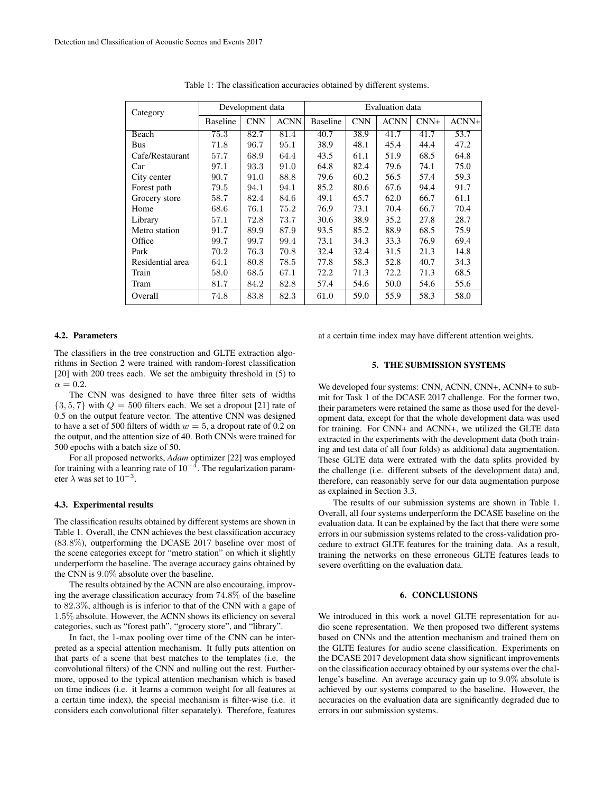| Category         | Development data |            |             | Evaluation data |            |             |        |         |
|------------------|------------------|------------|-------------|-----------------|------------|-------------|--------|---------|
|                  | <b>Baseline</b>  | <b>CNN</b> | <b>ACNN</b> | <b>Baseline</b> | <b>CNN</b> | <b>ACNN</b> | $CNN+$ | $ACNN+$ |
| Beach            | 75.3             | 82.7       | 81.4        | 40.7            | 38.9       | 41.7        | 41.7   | 53.7    |
| Bus              | 71.8             | 96.7       | 95.1        | 38.9            | 48.1       | 45.4        | 44.4   | 47.2    |
| Cafe/Restaurant  | 57.7             | 68.9       | 64.4        | 43.5            | 61.1       | 51.9        | 68.5   | 64.8    |
| Car              | 97.1             | 93.3       | 91.0        | 64.8            | 82.4       | 79.6        | 74.1   | 75.0    |
| City center      | 90.7             | 91.0       | 88.8        | 79.6            | 60.2       | 56.5        | 57.4   | 59.3    |
| Forest path      | 79.5             | 94.1       | 94.1        | 85.2            | 80.6       | 67.6        | 94.4   | 91.7    |
| Grocery store    | 58.7             | 82.4       | 84.6        | 49.1            | 65.7       | 62.0        | 66.7   | 61.1    |
| Home             | 68.6             | 76.1       | 75.2        | 76.9            | 73.1       | 70.4        | 66.7   | 70.4    |
| Library          | 57.1             | 72.8       | 73.7        | 30.6            | 38.9       | 35.2        | 27.8   | 28.7    |
| Metro station    | 91.7             | 89.9       | 87.9        | 93.5            | 85.2       | 88.9        | 68.5   | 75.9    |
| Office           | 99.7             | 99.7       | 99.4        | 73.1            | 34.3       | 33.3        | 76.9   | 69.4    |
| Park             | 70.2             | 76.3       | 70.8        | 32.4            | 32.4       | 31.5        | 21.3   | 14.8    |
| Residential area | 64.1             | 80.8       | 78.5        | 77.8            | 58.3       | 52.8        | 40.7   | 34.3    |
| Train            | 58.0             | 68.5       | 67.1        | 72.2            | 71.3       | 72.2        | 71.3   | 68.5    |
| Tram             | 81.7             | 84.2       | 82.8        | 57.4            | 54.6       | 50.0        | 54.6   | 55.6    |
| Overall          | 74.8             | 83.8       | 82.3        | 61.0            | 59.0       | 55.9        | 58.3   | 58.0    |

Table 1: The classification accuracies obtained by different systems.

# 4.2. Parameters

The classifiers in the tree construction and GLTE extraction algorithms in Section 2 were trained with random-forest classification [20] with 200 trees each. We set the ambiguity threshold in (5) to  $\alpha = 0.2$ 

The CNN was designed to have three filter sets of widths  $\{3, 5, 7\}$  with  $Q = 500$  filters each. We set a dropout [21] rate of 0.5 on the output feature vector. The attentive CNN was designed to have a set of 500 filters of width  $w = 5$ , a dropout rate of 0.2 on the output, and the attention size of 40. Both CNNs were trained for 500 epochs with a batch size of 50.

For all proposed networks, *Adam* optimizer [22] was employed for training with a leanring rate of  $10^{-4}$ . The regularization parameter  $\lambda$  was set to  $10^{-3}$ .

# 4.3. Experimental results

The classification results obtained by different systems are shown in Table 1. Overall, the CNN achieves the best classification accuracy (83.8%), outperforming the DCASE 2017 baseline over most of the scene categories except for "metro station" on which it slightly underperform the baseline. The average accuracy gains obtained by the CNN is 9.0% absolute over the baseline.

The results obtained by the ACNN are also encouraing, improving the average classification accuracy from 74.8% of the baseline to 82.3%, although is is inferior to that of the CNN with a gape of 1.5% absolute. However, the ACNN shows its efficiency on several categories, such as "forest path", "grocery store", and "library".

In fact, the 1-max pooling over time of the CNN can be interpreted as a special attention mechanism. It fully puts attention on that parts of a scene that best matches to the templates (i.e. the convolutional filters) of the CNN and nulling out the rest. Furthermore, opposed to the typical attention mechanism which is based on time indices (i.e. it learns a common weight for all features at a certain time index), the special mechanism is filter-wise (i.e. it considers each convolutional filter separately). Therefore, features at a certain time index may have different attention weights.

# 5. THE SUBMISSION SYSTEMS

We developed four systems: CNN, ACNN, CNN+, ACNN+ to submit for Task 1 of the DCASE 2017 challenge. For the former two, their parameters were retained the same as those used for the development data, except for that the whole development data was used for training. For CNN+ and ACNN+, we utilized the GLTE data extracted in the experiments with the development data (both training and test data of all four folds) as additional data augmentation. These GLTE data were extrated with the data splits provided by the challenge (i.e. different subsets of the development data) and, therefore, can reasonably serve for our data augmentation purpose as explained in Section 3.3.

The results of our submission systems are shown in Table 1. Overall, all four systems underperform the DCASE baseline on the evaluation data. It can be explained by the fact that there were some errors in our submission systems related to the cross-validation procedure to extract GLTE features for the training data. As a result, training the networks on these erroneous GLTE features leads to severe overfitting on the evaluation data.

# 6. CONCLUSIONS

We introduced in this work a novel GLTE representation for audio scene representation. We then proposed two different systems based on CNNs and the attention mechanism and trained them on the GLTE features for audio scene classification. Experiments on the DCASE 2017 development data show significant improvements on the classification accuracy obtained by our systems over the challenge's baseline. An average accuracy gain up to 9.0% absolute is achieved by our systems compared to the baseline. However, the accuracies on the evaluation data are significantly degraded due to errors in our submission systems.